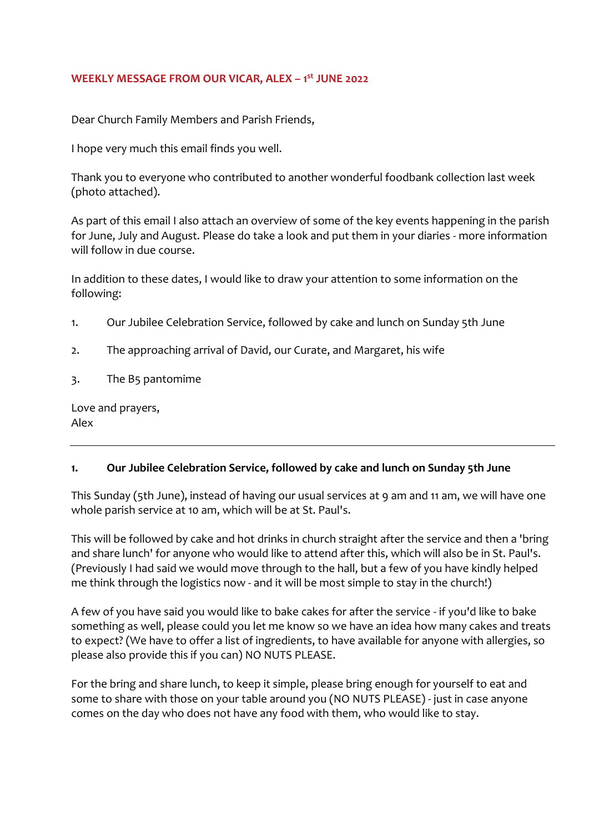## **WEEKLY MESSAGE FROM OUR VICAR, ALEX – 1 st JUNE 2022**

Dear Church Family Members and Parish Friends,

I hope very much this email finds you well.

Thank you to everyone who contributed to another wonderful foodbank collection last week (photo attached).

As part of this email I also attach an overview of some of the key events happening in the parish for June, July and August. Please do take a look and put them in your diaries - more information will follow in due course.

In addition to these dates, I would like to draw your attention to some information on the following:

- 1. Our Jubilee Celebration Service, followed by cake and lunch on Sunday 5th June
- 2. The approaching arrival of David, our Curate, and Margaret, his wife
- 3. The B5 pantomime

Love and prayers, Alex

## **1. Our Jubilee Celebration Service, followed by cake and lunch on Sunday 5th June**

This Sunday (5th June), instead of having our usual services at 9 am and 11 am, we will have one whole parish service at 10 am, which will be at St. Paul's.

This will be followed by cake and hot drinks in church straight after the service and then a 'bring and share lunch' for anyone who would like to attend after this, which will also be in St. Paul's. (Previously I had said we would move through to the hall, but a few of you have kindly helped me think through the logistics now - and it will be most simple to stay in the church!)

A few of you have said you would like to bake cakes for after the service - if you'd like to bake something as well, please could you let me know so we have an idea how many cakes and treats to expect? (We have to offer a list of ingredients, to have available for anyone with allergies, so please also provide this if you can) NO NUTS PLEASE.

For the bring and share lunch, to keep it simple, please bring enough for yourself to eat and some to share with those on your table around you (NO NUTS PLEASE) - just in case anyone comes on the day who does not have any food with them, who would like to stay.